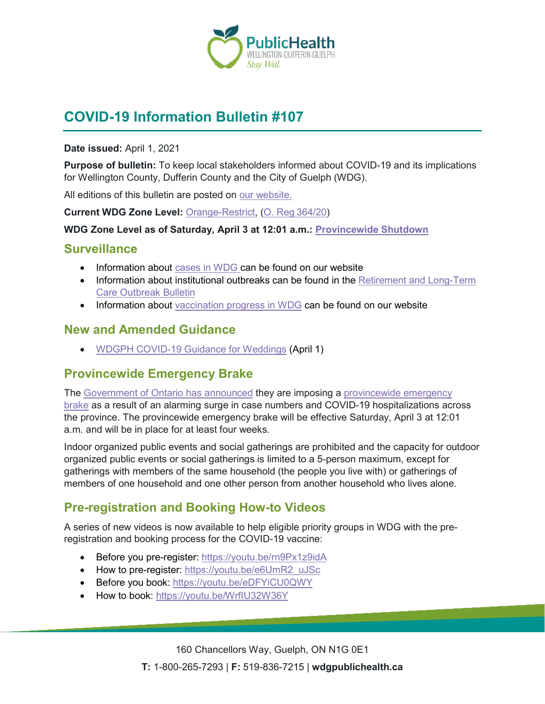

# **COVID-19 Information Bulletin #107**

#### **Date issued:** April 1, 2021

**Purpose of bulletin:** To keep local stakeholders informed about COVID-19 and its implications for Wellington County, Dufferin County and the City of Guelph (WDG).

All editions of this bulletin are posted on [our website.](https://www.wdgpublichealth.ca/your-health/covid-19-information-workplaces-and-living-spaces/community-stakeholder-bulletins)

**Current WDG Zone Level:** [Orange-Restrict,](https://www.ontario.ca/page/covid-19-response-framework-keeping-ontario-safe-and-open#orange) ([O. Reg](https://www.ontario.ca/laws/regulation/200364/v24)364/20)

#### **WDG Zone Level as of Saturday, April 3 at 12:01 a.m.: [Provincewide Shutdown](https://www.ontario.ca/page/covid-19-provincewide-shutdown)**

#### **Surveillance**

- Information about [cases in WDG](https://wdgpublichealth.ca/your-health/covid-19-information-public/status-cases-wdg) can be found on our website
- Information about institutional outbreaks can be found in the Retirement and Long-Term [Care Outbreak Bulletin](https://wdgpublichealth.ca/node/1542)
- Information about [vaccination progress](https://www.wdgpublichealth.ca/your-health/covid-19-information-public/covid-19-vaccine-information-public) in WDG can be found on our website

### **New and Amended Guidance**

• WDGPH [COVID-19 Guidance for Weddings](https://www.wdgpublichealth.ca/sites/default/files/covid-19_guidance_for_weddings_-_all_zones_apr_1_2021.pdf) (April 1)

### **Provincewide Emergency Brake**

The [Government of Ontario has announced](https://news.ontario.ca/en/release/60986/ontario-implements-provincewide-emergency-brake) they are imposing a [provincewide](https://www.ontario.ca/page/covid-19-provincewide-shutdown) emergency [brake](https://www.ontario.ca/page/covid-19-provincewide-shutdown) as a result of an alarming surge in case numbers and COVID-19 hospitalizations across the province. The provincewide emergency brake will be effective Saturday, April 3 at 12:01 a.m. and will be in place for at least four weeks.

Indoor organized public events and social gatherings are prohibited and the capacity for outdoor organized public events or social gatherings is limited to a 5-person maximum, except for gatherings with members of the same household (the people you live with) or gatherings of members of one household and one other person from another household who lives alone.

# **Pre-registration and Booking How-to Videos**

A series of new videos is now available to help eligible priority groups in WDG with the preregistration and booking process for the COVID-19 vaccine:

- Before you pre-register:<https://youtu.be/rn9Px1z9idA>
- How to pre-register: [https://youtu.be/e6UmR2\\_uJSc](https://youtu.be/e6UmR2_uJSc)
- Before you book:<https://youtu.be/eDFYiCU0QWY>
- How to book:<https://youtu.be/WrfIU32W36Y>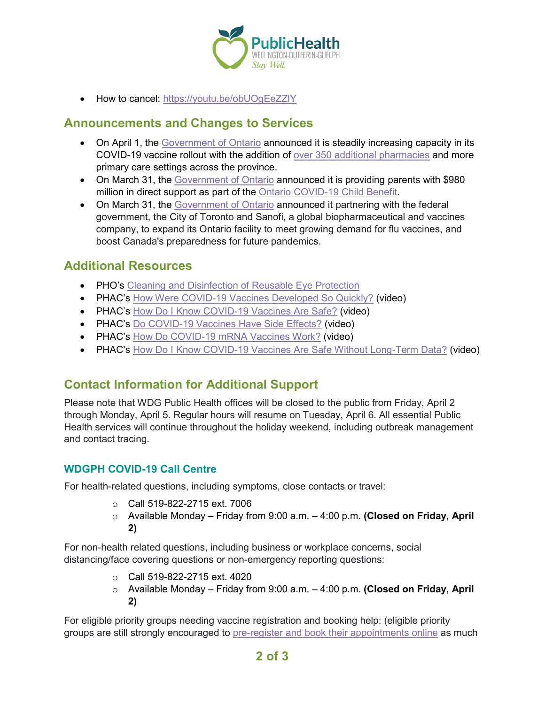

• How to cancel:<https://youtu.be/obUOgEeZZlY>

### **Announcements and Changes to Services**

- On April 1, the [Government of Ontario](https://news.ontario.ca/en/release/60976/ontario-expanding-pharmacy-and-primary-care-locations-for-covid-19-vaccinations) announced it is steadily increasing capacity in its COVID-19 vaccine rollout with the addition of [over 350 additional pharmacies](https://covid-19.ontario.ca/vaccine-locations) and more primary care settings across the province.
- On March 31, the [Government of Ontario](https://news.ontario.ca/en/release/60960/province-doubles-support-for-parents-with-new-ontario-covid-19-child-benefit) announced it is providing parents with \$980 million in direct support as part of the [Ontario COVID-19 Child Benefit.](https://www.ontario.ca/page/get-ontario-covid-19-child-benefit?share=3d3f5580-9189-11eb-9014-3b1311ed21bb)
- On March 31, the [Government of Ontario](https://news.ontario.ca/en/release/60947/ontario-expands-domestic-vaccine-manufacturing-capacity-and-improves-pandemic-preparedness) announced it partnering with the federal government, the City of Toronto and Sanofi, a global biopharmaceutical and vaccines company, to expand its Ontario facility to meet growing demand for flu vaccines, and boost Canada's preparedness for future pandemics.

### **Additional Resources**

- PHO's [Cleaning and Disinfection of Reusable Eye Protection](https://www.publichealthontario.ca/-/media/documents/ncov/ipac/2021/03/covid-19-infographic-cleaning-eye-protection.pdf?la=en)
- PHAC's [How Were COVID-19 Vaccines Developed So Quickly?](https://health.canada.ca/en/public-health/services/video/covid-19-vaccines-developed-quickly.html) (video)
- PHAC's [How Do I Know COVID-19 Vaccines Are Safe?](https://health.canada.ca/en/public-health/services/video/covid-19-vaccines-safe.html) (video)
- PHAC's [Do COVID-19 Vaccines Have Side Effects?](https://health.canada.ca/en/public-health/services/video/covid-19-vaccines-side-effects.html) (video)
- PHAC's [How Do COVID-19 mRNA Vaccines Work?](https://health.canada.ca/en/public-health/services/video/covid-19-mrna-vaccines.html) (video)
- PHAC's [How Do I Know COVID-19 Vaccines Are Safe Without Long-Term Data?](https://health.canada.ca/en/public-health/services/video/covid-19-vaccines-safe-without-long-term-data.html) (video)

# **Contact Information for Additional Support**

Please note that WDG Public Health offices will be closed to the public from Friday, April 2 through Monday, April 5. Regular hours will resume on Tuesday, April 6. All essential Public Health services will continue throughout the holiday weekend, including outbreak management and contact tracing.

### **WDGPH COVID-19 Call Centre**

For health-related questions, including symptoms, close contacts or travel:

- o Call 519-822-2715 ext. 7006
- o Available Monday Friday from 9:00 a.m. 4:00 p.m. **(Closed on Friday, April 2)**

For non-health related questions, including business or workplace concerns, social distancing/face covering questions or non-emergency reporting questions:

- o Call 519-822-2715 ext. 4020
- o Available Monday Friday from 9:00 a.m. 4:00 p.m. **(Closed on Friday, April 2)**

For eligible priority groups needing vaccine registration and booking help: (eligible priority groups are still strongly encouraged to [pre-register and book their appointments online](https://wdgpublichealth.ca/your-health/covid-19-information-public/covid-19-vaccine-information/pre-register-your-covid-19) as much